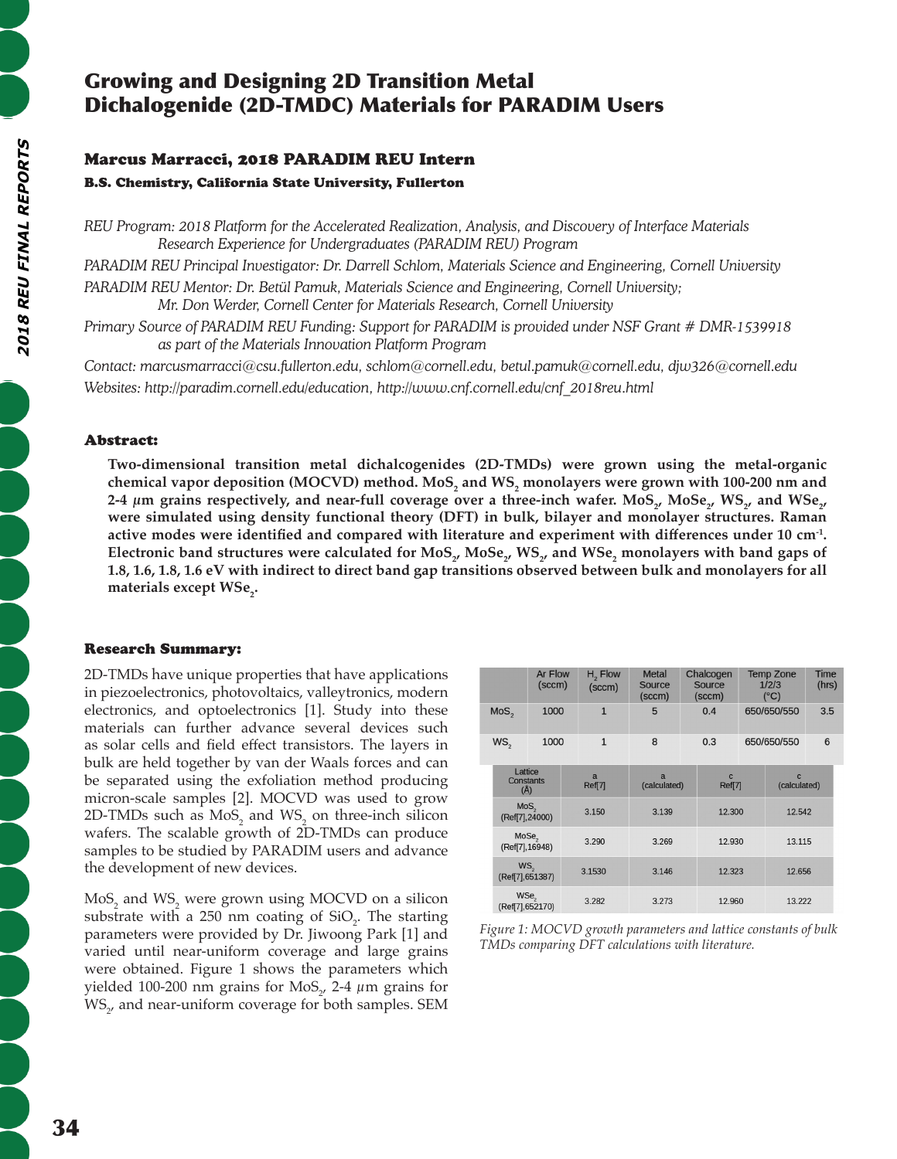# Growing and Designing 2D Transition Metal Dichalogenide (2D-TMDC) Materials for PARADIM Users

# Marcus Marracci, 2018 PARADIM REU Intern

B.S. Chemistry, California State University, Fullerton

*REU Program: 2018 Platform for the Accelerated Realization, Analysis, and Discovery of Interface Materials Research Experience for Undergraduates (PARADIM REU) Program*

*PARADIM REU Principal Investigator: Dr. Darrell Schlom, Materials Science and Engineering, Cornell University* PARADIM REU Mentor: Dr. Betül Pamuk, Materials Science and Engineering, Cornell University; *Mr. Don Werder, Cornell Center for Materials Research, Cornell University*

*Primary Source of PARADIM REU Funding: Support for PARADIM is provided under NSF Grant # DMR-1539918 as part of the Materials Innovation Platform Program*

*Contact: marcusmarracci@csu.fullerton.edu, schlom@cornell.edu, betul.pamuk@cornell.edu, djw326@cornell.edu Websites: http://paradim.cornell.edu/education, http://www.cnf.cornell.edu/cnf\_2018reu.html*

## Abstract:

**Two-dimensional transition metal dichalcogenides (2D-TMDs) were grown using the metal-organic**  chemical vapor deposition (MOCVD) method. MoS<sub>2</sub> and WS<sub>2</sub> monolayers were grown with 100-200 nm and 2-4  $\mu$ m grains respectively, and near-full coverage over a three-inch wafer. MoS<sub>2</sub>, MoSe<sub>2</sub>, WS<sub>2</sub>, and WSe<sub>2</sub>, **were simulated using density functional theory (DFT) in bulk, bilayer and monolayer structures. Raman active modes were identified and compared with literature and experiment with differences under 10 cm-1.**   $\bf{E}$ lectronic band structures were calculated for MoS<sub>2</sub>, MoSe<sub>2</sub>, WS<sub>2</sub>, and WSe<sub>2</sub> monolayers with band gaps of **1.8, 1.6, 1.8, 1.6 eV with indirect to direct band gap transitions observed between bulk and monolayers for all**  materials except WSe<sub>2</sub>.

### Research Summary:

2D-TMDs have unique properties that have applications in piezoelectronics, photovoltaics, valleytronics, modern electronics, and optoelectronics [1]. Study into these materials can further advance several devices such as solar cells and field effect transistors. The layers in bulk are held together by van der Waals forces and can be separated using the exfoliation method producing micron-scale samples [2]. MOCVD was used to grow 2D-TMDs such as  $MoS_2$  and  $WS_2$  on three-inch silicon wafers. The scalable growth of 2D-TMDs can produce samples to be studied by PARADIM users and advance the development of new devices.

 $\text{MoS}_2$  and  $\text{WS}_2$  were grown using MOCVD on a silicon substrate with a 250 nm coating of  $SiO<sub>2</sub>$ . The starting parameters were provided by Dr. Jiwoong Park [1] and varied until near-uniform coverage and large grains were obtained. Figure 1 shows the parameters which yielded 100-200 nm grains for MoS<sub>2</sub>, 2-4  $\mu$ m grains for  $\mathsf{WS}_{2'}$  and near-uniform coverage for both samples. SEM

|                                    |                                                                                                                    | Ar Flow<br>(sccm) |  | $H2$ Flow<br>(sccm) | <b>Metal</b><br>Source<br>(sccm) |                        | Chalcogen<br>Source<br>(sccm) | <b>Temp Zone</b><br>1/2/3<br>$(^{\circ}C)$ |                  | <b>Time</b><br>(hrs) |  |
|------------------------------------|--------------------------------------------------------------------------------------------------------------------|-------------------|--|---------------------|----------------------------------|------------------------|-------------------------------|--------------------------------------------|------------------|----------------------|--|
| $MoS_{2}$                          |                                                                                                                    | 1000              |  | $\overline{1}$      | 5                                |                        | 0.4                           | 650/650/550                                |                  | 3.5                  |  |
| WS <sub>2</sub>                    |                                                                                                                    | 1000              |  | $\mathbf{1}$        | 8                                |                        | 0.3                           |                                            | 650/650/550      | $6\phantom{1}6$      |  |
| Lattice<br><b>Constants</b><br>(A) |                                                                                                                    |                   |  | a<br>Ref[7]         | $\overline{a}$<br>(calculated)   | $\mathbf{C}$<br>Ref[7] |                               | $\mathbf{C}$<br>(calculated)               |                  |                      |  |
|                                    | MoS <sub>2</sub><br>(Ref[7], 24000)<br>MoSe <sub>2</sub><br>(Ref[7], 16948)<br>WS <sub>2</sub><br>(Ref[7], 651387) |                   |  | 3.150               | 3.139<br>3.269                   |                        | 12.300<br>12.930              |                                            | 12.542<br>13.115 |                      |  |
|                                    |                                                                                                                    |                   |  | 3.290               |                                  |                        |                               |                                            |                  |                      |  |
|                                    |                                                                                                                    |                   |  | 3.1530              | 3.146                            |                        | 12.323                        |                                            | 12.656           |                      |  |
|                                    | WSe <sub>2</sub><br>(Ref[7], 652170)                                                                               |                   |  | 3.282               | 3.273                            |                        | 12.960                        |                                            | 13.222           |                      |  |

*Figure 1: MOCVD growth parameters and lattice constants of bulk TMDs comparing DFT calculations with literature.*